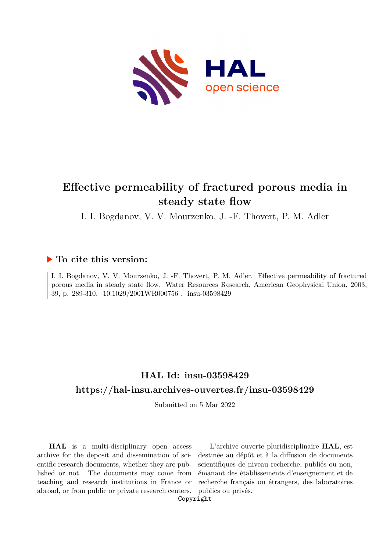

# **Effective permeability of fractured porous media in steady state flow**

I. I. Bogdanov, V. V. Mourzenko, J. -F. Thovert, P. M. Adler

# **To cite this version:**

I. I. Bogdanov, V. V. Mourzenko, J. -F. Thovert, P. M. Adler. Effective permeability of fractured porous media in steady state flow. Water Resources Research, American Geophysical Union, 2003, 39, p. 289-310.  $10.1029/2001WR000756$ . insu-03598429

# **HAL Id: insu-03598429 <https://hal-insu.archives-ouvertes.fr/insu-03598429>**

Submitted on 5 Mar 2022

**HAL** is a multi-disciplinary open access archive for the deposit and dissemination of scientific research documents, whether they are published or not. The documents may come from teaching and research institutions in France or abroad, or from public or private research centers.

L'archive ouverte pluridisciplinaire **HAL**, est destinée au dépôt et à la diffusion de documents scientifiques de niveau recherche, publiés ou non, émanant des établissements d'enseignement et de recherche français ou étrangers, des laboratoires publics ou privés.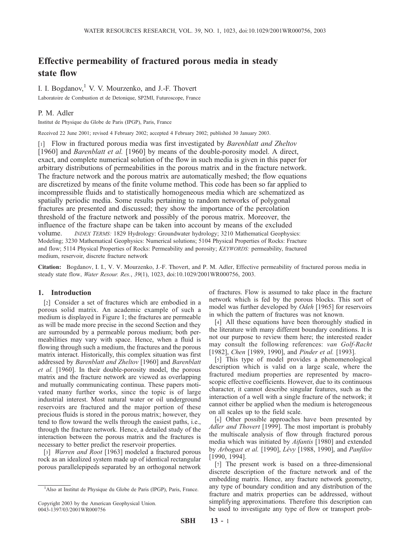# Effective permeability of fractured porous media in steady state flow

I. I. Bogdanov, $<sup>1</sup>$  V. V. Mourzenko, and J.-F. Thovert</sup> Laboratoire de Combustion et de Detonique, SP2MI, Futuroscope, France

## P. M. Adler

Institut de Physique du Globe de Paris (IPGP), Paris, France

Received 22 June 2001; revised 4 February 2002; accepted 4 February 2002; published 30 January 2003.

[1] Flow in fractured porous media was first investigated by Barenblatt and Zheltov [1960] and *Barenblatt et al.* [1960] by means of the double-porosity model. A direct, exact, and complete numerical solution of the flow in such media is given in this paper for arbitrary distributions of permeabilities in the porous matrix and in the fracture network. The fracture network and the porous matrix are automatically meshed; the flow equations are discretized by means of the finite volume method. This code has been so far applied to incompressible fluids and to statistically homogeneous media which are schematized as spatially periodic media. Some results pertaining to random networks of polygonal fractures are presented and discussed; they show the importance of the percolation threshold of the fracture network and possibly of the porous matrix. Moreover, the influence of the fracture shape can be taken into account by means of the excluded volume. INDEX TERMS: 1829 Hydrology: Groundwater hydrology; 3210 Mathematical Geophysics: Modeling; 3230 Mathematical Geophysics: Numerical solutions; 5104 Physical Properties of Rocks: Fracture and flow; 5114 Physical Properties of Rocks: Permeability and porosity; KEYWORDS: permeability, fractured medium, reservoir, discrete fracture network

Citation: Bogdanov, I. I., V. V. Mourzenko, J.-F. Thovert, and P. M. Adler, Effective permeability of fractured porous media in steady state flow, Water Resour. Res., 39(1), 1023, doi:10.1029/2001WR000756, 2003.

#### 1. Introduction

[2] Consider a set of fractures which are embodied in a porous solid matrix. An academic example of such a medium is displayed in Figure 1; the fractures are permeable as will be made more precise in the second Section and they are surrounded by a permeable porous medium; both permeabilities may vary with space. Hence, when a fluid is flowing through such a medium, the fractures and the porous matrix interact. Historically, this complex situation was first addressed by Barenblatt and Zheltov [1960] and Barenblatt et al. [1960]. In their double-porosity model, the porous matrix and the fracture network are viewed as overlapping and mutually communicating continua. These papers motivated many further works, since the topic is of large industrial interest. Most natural water or oil underground reservoirs are fractured and the major portion of these precious fluids is stored in the porous matrix; however, they tend to flow toward the wells through the easiest paths, i.e., through the fracture network. Hence, a detailed study of the interaction between the porous matrix and the fractures is necessary to better predict the reservoir properties.

[3] *Warren and Root* [1963] modeled a fractured porous rock as an idealized system made up of identical rectangular porous parallelepipeds separated by an orthogonal network

of fractures. Flow is assumed to take place in the fracture network which is fed by the porous blocks. This sort of model was further developed by Odeh [1965] for reservoirs in which the pattern of fractures was not known.

[4] All these equations have been thoroughly studied in the literature with many different boundary conditions. It is not our purpose to review them here; the interested reader may consult the following references: van Golf-Racht [1982], Chen [1989, 1990], and Pinder et al. [1993].

[5] This type of model provides a phenomenological description which is valid on a large scale, where the fractured medium properties are represented by macroscopic effective coefficients. However, due to its continuous character, it cannot describe singular features, such as the interaction of a well with a single fracture of the network; it cannot either be applied when the medium is heterogeneous on all scales up to the field scale.

[6] Other possible approaches have been presented by Adler and Thovert [1999]. The most important is probably the multiscale analysis of flow through fractured porous media which was initiated by Aifantis [1980] and extended by Arbogast et al. [1990], Lévy [1988, 1990], and Panfilov [1990, 1994].

[7] The present work is based on a three-dimensional discrete description of the fracture network and of the embedding matrix. Hence, any fracture network geometry, any type of boundary condition and any distribution of the fracture and matrix properties can be addressed, without simplifying approximations. Therefore this description can be used to investigate any type of flow or transport prob-

<sup>&</sup>lt;sup>1</sup>Also at Institut de Physique du Globe de Paris (IPGP), Paris, France.

Copyright 2003 by the American Geophysical Union. 0043-1397/03/2001WR000756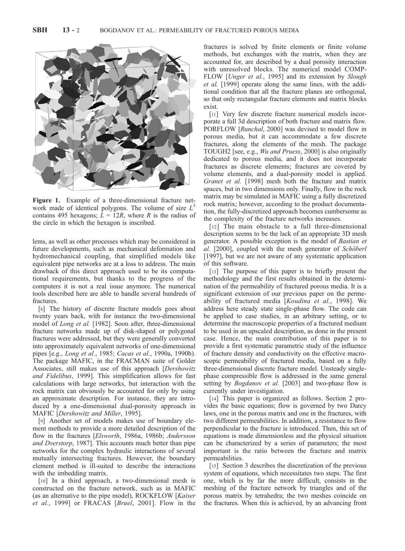

Figure 1. Example of a three-dimensional fracture network made of identical polygons. The volume of size  $L<sup>3</sup>$ contains 495 hexagons;  $L = 12R$ , where R is the radius of the circle in which the hexagon is inscribed.

lems, as well as other processes which may be considered in future developments, such as mechanical deformation and hydromechanical coupling, that simplified models like equivalent pipe networks are at a loss to address. The main drawback of this direct approach used to be its computational requirements, but thanks to the progress of the computers it is not a real issue anymore. The numerical tools described here are able to handle several hundreds of fractures.

[8] The history of discrete fracture models goes about twenty years back, with for instance the two-dimensional model of Long et al. [1982]. Soon after, three-dimensional fracture networks made up of disk-shaped or polygonal fractures were addressed, but they were generally converted into approximately equivalent networks of one-dimensional pipes [e.g., Long et al., 1985; Cacas et al., 1990a, 1990b). The package MAFIC, in the FRACMAN suite of Golder Associates, still makes use of this approach [Dershowitz and Fidelibus, 1999]. This simplification allows for fast calculations with large networks, but interaction with the rock matrix can obviously be accounted for only by using an approximate description. For instance, they are introduced by a one-dimensional dual-porosity approach in MAFIC [Dershowitz and Miller, 1995].

[9] Another set of models makes use of boundary element methods to provide a more detailed description of the flow in the fractures [Elsworth, 1986a, 1986b; Andersson and Dverstorp, 1987]. This accounts much better than pipe networks for the complex hydraulic interactions of several mutually intersecting fractures. However, the boundary element method is ill-suited to describe the interactions with the imbedding matrix.

[10] In a third approach, a two-dimensional mesh is constructed on the fracture network, such as in MAFIC (as an alternative to the pipe model), ROCKFLOW [Kaiser et al., 1999] or FRACAS [Bruel, 2001]. Flow in the fractures is solved by finite elements or finite volume methods, but exchanges with the matrix, when they are accounted for, are described by a dual porosity interaction with unresolved blocks. The numerical model COMP-FLOW [*Unger et al.*, 1995] and its extension by *Slough* et al. [1999] operate along the same lines, with the additional condition that all the fracture planes are orthogonal, so that only rectangular fracture elements and matrix blocks exist.

[11] Very few discrete fracture numerical models incorporate a full 3d description of both fracture and matrix flow. PORFLOW [Runchal, 2000] was devised to model flow in porous media, but it can accommodate a few discrete fractures, along the elements of the mesh. The package TOUGH2 [see, e.g., Wu and Pruess, 2000] is also originally dedicated to porous media, and it does not incorporate fractures as discrete elements; fractures are covered by volume elements, and a dual-porosity model is applied. Granet et al. [1998] mesh both the fracture and matrix spaces, but in two dimensions only. Finally, flow in the rock matrix may be simulated in MAFIC using a fully discretized rock matrix; however, according to the product documentation, the fully-discretized approach becomes cumbersome as the complexity of the fracture networks increases.

[12] The main obstacle to a full three-dimensional description seems to be the lack of an appropriate 3D mesh generator. A possible exception is the model of Bastian et al. [2000], coupled with the mesh generator of Schöberl [1997], but we are not aware of any systematic application of this software.

[13] The purpose of this paper is to briefly present the methodology and the first results obtained in the determination of the permeability of fractured porous media. It is a significant extension of our previous paper on the permeability of fractured media [Koudina et al., 1998]. We address here steady state single-phase flow. The code can be applied to case studies, in an arbitrary setting, or to determine the macroscopic properties of a fractured medium to be used in an upscaled description, as done in the present case. Hence, the main contribution of this paper is to provide a first systematic parametric study of the influence of fracture density and conductivity on the effective macroscopic permeability of fractured media, based on a fully three-dimensional discrete fracture model. Unsteady singlephase compressible flow is addressed in the same general setting by *Bogdanov et al.* [2003] and two-phase flow is currently under investigation.

[14] This paper is organized as follows. Section 2 provides the basic equations; flow is governed by two Darcy laws, one in the porous matrix and one in the fractures, with two different permeabilities. In addition, a resistance to flow perpendicular to the fracture is introduced. Then, this set of equations is made dimensionless and the physical situation can be characterized by a series of parameters; the most important is the ratio between the fracture and matrix permeabilities.

[15] Section 3 describes the discretization of the previous system of equations, which necessitates two steps. The first one, which is by far the more difficult, consists in the meshing of the fracture network by triangles and of the porous matrix by tetrahedra; the two meshes coincide on the fractures. When this is achieved, by an advancing front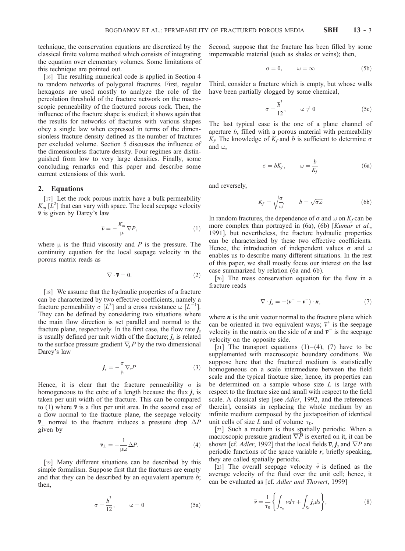technique, the conservation equations are discretized by the classical finite volume method which consists of integrating the equation over elementary volumes. Some limitations of this technique are pointed out.

[16] The resulting numerical code is applied in Section 4 to random networks of polygonal fractures. First, regular hexagons are used mostly to analyze the role of the percolation threshold of the fracture network on the macroscopic permeability of the fractured porous rock. Then, the influence of the fracture shape is studied; it shows again that the results for networks of fractures with various shapes obey a single law when expressed in terms of the dimensionless fracture density defined as the number of fractures per excluded volume. Section 5 discusses the influence of the dimensionless fracture density. Four regimes are distinguished from low to very large densities. Finally, some concluding remarks end this paper and describe some current extensions of this work.

#### 2. Equations

[17] Let the rock porous matrix have a bulk permeability  $K_m$  [ $\vec{L}^2$ ] that can vary with space. The local seepage velocity  $\overline{v}$  is given by Darcy's law

$$
\overline{\nu} = -\frac{K_m}{\mu} \nabla P,\tag{1}
$$

where  $\mu$  is the fluid viscosity and P is the pressure. The continuity equation for the local seepage velocity in the porous matrix reads as

$$
\nabla \cdot \overline{\mathbf{v}} = 0. \tag{2}
$$

[18] We assume that the hydraulic properties of a fracture can be characterized by two effective coefficients, namely a fracture permeability  $\sigma [L^3]$  and a cross resistance  $\omega [L^{-1}]$ . They can be defined by considering two situations where the main flow direction is set parallel and normal to the fracture plane, respectively. In the first case, the flow rate  $j_s$ is usually defined per unit width of the fracture;  $j_s$  is related to the surface pressure gradient  $\nabla_{\rm s} P$  by the two dimensional Darcy's law

$$
\dot{\mathbf{j}}_{s} = -\frac{\sigma}{\mu} \nabla_{s} P \tag{3}
$$

Hence, it is clear that the fracture permeability  $\sigma$  is homogeneous to the cube of a length because the flux  $j_s$  is taken per unit width of the fracture. This can be compared to (1) where  $\bar{v}$  is a flux per unit area. In the second case of a flow normal to the fracture plane, the seepage velocity  $\overline{v}_1$  normal to the fracture induces a pressure drop  $\Delta P$ given by

$$
\overline{\mathbf{v}}_{\perp} = -\frac{1}{\mu \omega} \Delta P. \tag{4}
$$

[19] Many different situations can be described by this simple formalism. Suppose first that the fractures are empty and that they can be described by an equivalent aperture  $b$ ; then,

$$
\sigma = \frac{\overline{b}^3}{12}, \qquad \omega = 0 \tag{5a}
$$

Second, suppose that the fracture has been filled by some impermeable material (such as shales or veins); then,

$$
\sigma = 0, \qquad \omega = \infty \tag{5b}
$$

Third, consider a fracture which is empty, but whose walls have been partially clogged by some chemical,

$$
\sigma = \frac{\overline{b}^3}{12}, \qquad \omega \neq 0 \tag{5c}
$$

The last typical case is the one of a plane channel of aperture b, filled with a porous material with permeability  $K_f$ . The knowledge of  $K_f$  and b is sufficient to determine  $\sigma$ and  $\omega$ ,

$$
\sigma = bK_f, \qquad \omega = \frac{b}{K_f} \tag{6a}
$$

and reversely,

$$
K_f = \sqrt{\frac{\sigma}{\omega}}, \qquad b = \sqrt{\sigma \omega} \tag{6b}
$$

In random fractures, the dependence of  $\sigma$  and  $\omega$  on  $K_f$  can be more complex than portrayed in (6a), (6b) [Kumar et al., 1991], but nevertheless, the fracture hydraulic properties can be characterized by these two effective coefficients. Hence, the introduction of independent values  $\sigma$  and  $\omega$ enables us to describe many different situations. In the rest of this paper, we shall mostly focus our interest on the last case summarized by relation (6a and 6b).

[20] The mass conservation equation for the flow in a fracture reads

$$
\nabla \cdot \boldsymbol{j}_{s} = -(\overline{\boldsymbol{v}}^{+} - \overline{\boldsymbol{v}}^{-}) \cdot \boldsymbol{n}, \qquad (7)
$$

where  $\boldsymbol{n}$  is the unit vector normal to the fracture plane which can be oriented in two equivalent ways;  $\bar{v}^+$  is the seepage velocity in the matrix on the side of **n** and  $\overline{v}$  is the seepage velocity on the opposite side.

[21] The transport equations  $(1)$ – $(4)$ ,  $(7)$  have to be supplemented with macroscopic boundary conditions. We suppose here that the fractured medium is statistically homogeneous on a scale intermediate between the field scale and the typical fracture size; hence, its properties can be determined on a sample whose size  $L$  is large with respect to the fracture size and small with respect to the field scale. A classical step [see Adler, 1992, and the references therein], consists in replacing the whole medium by an infinite medium composed by the juxtaposition of identical unit cells of size L and of volume  $\tau_0$ .

[22] Such a medium is thus spatially periodic. When a macroscopic pressure gradient  $\overline{\nabla P}$  is exerted on it, it can be shown [cf. *Adler*, 1992] that the local fields  $\overline{v}$ , *j<sub>s</sub>* and  $\nabla P$  are periodic functions of the space variable  $r$ ; briefly speaking, they are called spatially periodic.

[23] The overall seepage velocity  $\bar{\bar{v}}$  is defined as the average velocity of the fluid over the unit cell; hence, it can be evaluated as [cf. Adler and Thovert, 1999]

$$
\bar{\bar{\nu}} = \frac{1}{\tau_0} \left\{ \int_{\tau_m} \bar{\nu} d\tau + \int_{S_f} j_s ds \right\},\tag{8}
$$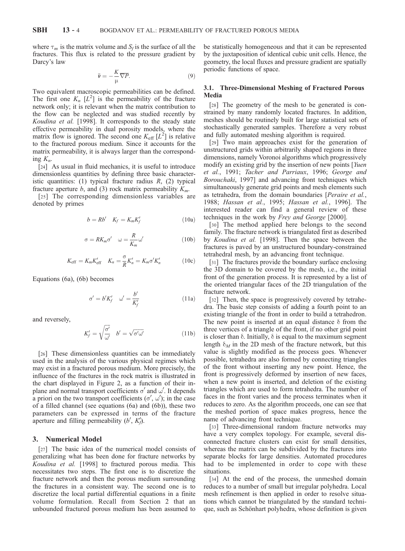where  $\tau_m$  is the matrix volume and  $S_f$  is the surface of all the fractures. This flux is related to the pressure gradient by Darcy's law

$$
\bar{\bar{\nu}} = -\frac{K}{\mu} \overline{\nabla P}.\tag{9}
$$

Two equivalent macroscopic permeabilities can be defined. The first one  $K_n$  [ $L^2$ ] is the permeability of the fracture network only; it is relevant when the matrix contribution to the flow can be neglected and was studied recently by Koudina et al. [1998]. It corresponds to the steady state effective permeability in dual porosity models, where the matrix flow is ignored. The second one  $K_{\text{eff}}[L^2]$  is relative to the fractured porous medium. Since it accounts for the matrix permeability, it is always larger than the corresponding  $K_n$ .

[24] As usual in fluid mechanics, it is useful to introduce dimensionless quantities by defining three basic characteristic quantities: (1) typical fracture radius  $R$ , (2) typical fracture aperture b, and (3) rock matrix permeability  $K_m$ .

[25] The corresponding dimensionless variables are denoted by primes

$$
b = Rb' \quad K_f = K_m K'_f \tag{10a}
$$

$$
\sigma = RK_m \sigma' \quad \omega = \frac{R}{K_m} \omega' \tag{10b}
$$

$$
K_{\rm eff} = K_m K'_{\rm eff} \quad K_n = \frac{\sigma}{R} K'_n = K_m \sigma' K'_n \tag{10c}
$$

Equations (6a), (6b) becomes

$$
\sigma' = b'K_f' \quad \omega' = \frac{b'}{K_f'} \tag{11a}
$$

and reversely,

$$
K'_{f} = \sqrt{\frac{\sigma'}{\omega'}} \quad b' = \sqrt{\sigma'\omega'}
$$
 (11b)

[26] These dimensionless quantities can be immediately used in the analysis of the various physical regimes which may exist in a fractured porous medium. More precisely, the influence of the fractures in the rock matrix is illustrated in the chart displayed in Figure 2, as a function of their inplane and normal transport coefficients  $\sigma'$  and  $\omega'$ . It depends a priori on the two transport coefficients  $(\sigma', \omega')$ ; in the case of a filled channel (see equations (6a) and (6b)), these two parameters can be expressed in terms of the fracture aperture and filling permeability  $(b', K'_f)$ .

## 3. Numerical Model

[27] The basic idea of the numerical model consists of generalizing what has been done for fracture networks by Koudina et al. [1998] to fractured porous media. This necessitates two steps. The first one is to discretize the fracture network and then the porous medium surrounding the fractures in a consistent way. The second one is to discretize the local partial differential equations in a finite volume formulation. Recall from Section 2 that an unbounded fractured porous medium has been assumed to

be statistically homogeneous and that it can be represented by the juxtaposition of identical cubic unit cells. Hence, the geometry, the local fluxes and pressure gradient are spatially periodic functions of space.

### 3.1. Three-Dimensional Meshing of Fractured Porous Media

[28] The geometry of the mesh to be generated is constrained by many randomly located fractures. In addition, meshes should be routinely built for large statistical sets of stochastically generated samples. Therefore a very robust and fully automated meshing algorithm is required.

[29] Two main approaches exist for the generation of unstructured grids within arbitrarily shaped regions in three dimensions, namely Voronoi algorithms which progressively modify an existing grid by the insertion of new points [*Yuen* et al., 1991; Tacher and Parriaux, 1996; George and Borouchaki, 1997] and advancing front techniques which simultaneously generate grid points and mesh elements such as tetrahedra, from the domain boundaries [Peraire et al., 1988; Hassan et al., 1995; Hassan et al., 1996]. The interested reader can find a general review of these techniques in the work by Frey and George [2000].

[30] The method applied here belongs to the second family. The fracture network is triangulated first as described by Koudina et al. [1998]. Then the space between the fractures is paved by an unstructured boundary-constrained tetrahedral mesh, by an advancing front technique.

[31] The fractures provide the boundary surface enclosing the 3D domain to be covered by the mesh, i.e., the initial front of the generation process. It is represented by a list of the oriented triangular faces of the 2D triangulation of the fracture network.

[32] Then, the space is progressively covered by tetrahedra. The basic step consists of adding a fourth point to an existing triangle of the front in order to build a tetrahedron. The new point is inserted at an equal distance  $\delta$  from the three vertices of a triangle of the front, if no other grid point is closer than  $\delta$ . Initially,  $\delta$  is equal to the maximum segment length  $\delta_M$  in the 2D mesh of the fracture network, but this value is slightly modified as the process goes. Whenever possible, tetrahedra are also formed by connecting triangles of the front without inserting any new point. Hence, the front is progressively deformed by insertion of new faces, when a new point is inserted, and deletion of the existing triangles which are used to form tetrahedra. The number of faces in the front varies and the process terminates when it reduces to zero. As the algorithm proceeds, one can see that the meshed portion of space makes progress, hence the name of advancing front technique.

[33] Three-dimensional random fracture networks may have a very complex topology. For example, several disconnected fracture clusters can exist for small densities, whereas the matrix can be subdivided by the fractures into separate blocks for large densities. Automated procedures had to be implemented in order to cope with these situations.

[34] At the end of the process, the unmeshed domain reduces to a number of small but irregular polyhedra. Local mesh refinement is then applied in order to resolve situations which cannot be triangulated by the standard technique, such as Schönhart polyhedra, whose definition is given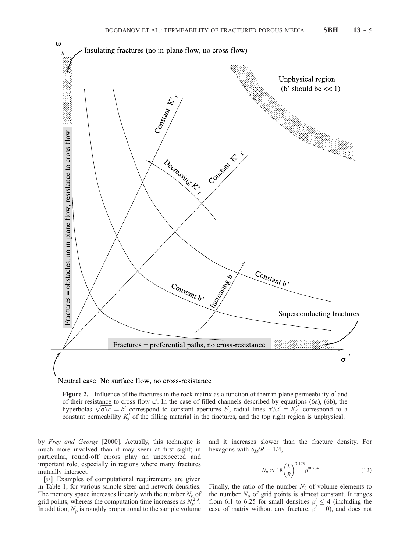



Figure 2. Influence of the fractures in the rock matrix as a function of their in-plane permeability  $\sigma'$  and of their resistance to cross flow  $\omega'$ . In the case of filled channels described by equations (6a), (6b), the of their resistance to cross flow  $\omega$ . In the case of filled channels described by equations (6a), (6b), the hyperbolas  $\sqrt{\sigma' \omega'} = b'$  correspond to constant apertures b', radial lines  $\sigma' / \omega' = K_f'^2$  correspond to a constant permeability  $K_f'$  of the filling material in the fractures, and the top right region is unphysical.

by Frey and George [2000]. Actually, this technique is much more involved than it may seem at first sight; in particular, round-off errors play an unexpected and important role, especially in regions where many fractures mutually intersect.

[35] Examples of computational requirements are given in Table 1, for various sample sizes and network densities. The memory space increases linearly with the number  $N_p$  of grid points, whereas the computation time increases as  $N_p^{2.3}$ . In addition,  $N_p$  is roughly proportional to the sample volume

and it increases slower than the fracture density. For hexagons with  $\delta_M/R = 1/4$ ,

$$
N_p \approx 18 \left(\frac{L}{R}\right)^{3.175} \rho'^{0.704} \tag{12}
$$

Finally, the ratio of the number  $N_{\theta}$  of volume elements to the number  $N_p$  of grid points is almost constant. It ranges from 6.1 to 6.25 for small densities  $\rho' \leq 4$  (including the case of matrix without any fracture,  $\rho' = 0$ ), and does not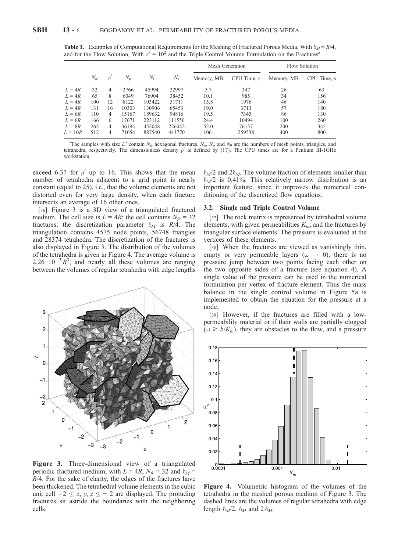|           |          |                |       |        |              |            | Mesh Generation | Flow Solution |             |
|-----------|----------|----------------|-------|--------|--------------|------------|-----------------|---------------|-------------|
|           | $N_{fr}$ | ρ              | $N_p$ | $N_t$  | $N_{\theta}$ | Memory, MB | CPU Time, s     | Memory, MB    | CPU Time, s |
| $L = 4R$  | 32       | 4              | 3766  | 45994  | 22997        | 5.7        | 347             | 26            | 63          |
| $L = 4R$  | 65       | 8              | 6049  | 76904  | 38452        | 10.1       | 985             | 34            | 156         |
| $L = 4R$  | 100      | 12             | 8122  | 103422 | 51711        | 15.8       | 1976            | 46            | 140         |
| $L = 4R$  | 131      | 16             | 10303 | 130906 | 65453        | 19.0       | 3713            | 57            | 180         |
| $L = 6R$  | 110      | 4              | 15167 | 189632 | 94816        | 19.5       | 7345            | 86            | 130         |
| $L = 6R$  | 166      | 6              | 17671 | 223112 | 111556       | 24.4       | 10494           | 100           | 260         |
| $L = 8R$  | 262      | $\overline{4}$ | 36194 | 452048 | 226042       | 52.0       | 76157           | 200           | 345         |
| $L = 10R$ | 512      | 4              | 71054 | 887540 | 443770       | 106.       | 259538          | 400           | 800         |

**Table 1.** Examples of Computational Requirements for the Meshing of Fractured Porous Media, With  $\delta_M = R/4$ , and for the Flow Solution, With  $\sigma' = 10^2$  and the Triple Control Volume Formulation on the Fractures<sup>4</sup>

<sup>a</sup>The samples with size  $L^3$  contain  $N_f$ , hexagonal fractures.  $N_p$ ,  $N_t$ , and  $N_\theta$  are the numbers of mesh points, triangles, and tetrahedra, respectively. The dimensionless density  $\rho'$  is defined by (17). The CPU times are for a Pentium III-1GHz workstation.

exceed 6.37 for  $\rho'$  up to 16. This shows that the mean number of tetrahedra adjacent to a grid point is nearly constant (equal to 25), i.e., that the volume elements are not distorted even for very large density, when each fracture intersects an average of 16 other ones.

[36] Figure 3 is a 3D view of a triangulated fractured medium. The cell size is  $L = 4R$ ; the cell contains  $N_f = 32$ fractures; the discretization parameter  $\delta_M$  is  $R/\dot{4}$ . The triangulation contains 4575 node points, 56748 triangles and 28374 tetrahedra. The discretization of the fractures is also displayed in Figure 3. The distribution of the volumes of the tetrahedra is given in Figure 4. The average volume is 2.26  $10^{-3}R^3$ , and nearly all these volumes are ranging between the volumes of regular tetrahedra with edge lengths



Figure 3. Three-dimensional view of a triangulated periodic fractured medium, with  $L = 4R$ ,  $N_f = 32$  and  $\delta_M =$  $R/4$ . For the sake of clarity, the edges of the fractures have been thickened. The tetrahedral volume elements in the cubic unit cell  $-2 \le x, y, z \le +2$  are displayed. The protuding fractures sit astride the boundaries with the neighboring cells.

 $\delta_M/2$  and  $2\delta_M$ . The volume fraction of elements smaller than  $\delta_M/2$  is 0.41%. This relatively narrow distribution is an important feature, since it improves the numerical conditioning of the discretized flow equations.

#### 3.2. Single and Triple Control Volume

[37] The rock matrix is represented by tetrahedral volume elements, with given permeabilities  $K_m$ , and the fractures by triangular surface elements. The pressure is evaluated at the vertices of these elements.

[38] When the fractures are viewed as vanishingly thin, empty or very permeable layers ( $\omega \rightarrow 0$ ), there is no pressure jump between two points facing each other on the two opposite sides of a fracture (see equation 4). A single value of the pressure can be used in the numerical formulation per vertex of fracture element. Thus the mass balance in the single control volume in Figure 5a is implemented to obtain the equation for the pressure at a node.

[39] However, if the fractures are filled with a lowpermeability material or if their walls are partially clogged  $(\omega \gtrsim b/K_m)$ , they are obstacles to the flow, and a pressure



Figure 4. Volumetric histogram of the volumes of the tetrahedra in the meshed porous medium of Figure 3. The dashed lines are the volumes of regular tetrahedra with edge length  $\delta_M/2$ ,  $\delta_M$  and  $2 \delta_M$ .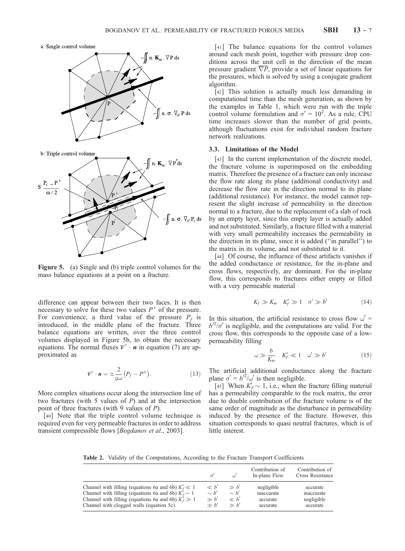a: Single control volume



b: Triple control volume



Figure 5. (a) Single and (b) triple control volumes for the mass balance equations at a point on a fracture.

difference can appear between their two faces. It is then necessary to solve for these two values  $P^{\pm}$  of the pressure. For convenience, a third value of the pressure  $P_f$  is introduced, in the middle plane of the fracture. Three balance equations are written, over the three control volumes displayed in Figure 5b, to obtain the necessary equations. The normal fluxes  $\overline{v}^{\pm} \cdot n$  in equation (7) are approximated as

$$
\overline{\mathbf{v}}^{\pm} \cdot \mathbf{n} = \pm \frac{2}{\mu \omega} (P_f - P^{\pm}). \tag{13}
$$

More complex situations occur along the intersection line of two fractures (with 5 values of  $P$ ) and at the intersection point of three fractures (with 9 values of  $P$ ).

[40] Note that the triple control volume technique is required even for very permeable fractures in order to address transient compressible flows [Bogdanov et al., 2003].

[41] The balance equations for the control volumes around each mesh point, together with pressure drop conditions across the unit cell in the direction of the mean pressure gradient  $\overline{\nabla P}$ , provide a set of linear equations for the pressures, which is solved by using a conjugate gradient algorithm.

[42] This solution is actually much less demanding in computational time than the mesh generation, as shown by the examples in Table 1, which were run with the triple control volume formulation and  $\sigma' = 10^2$ . As a rule, CPU time increases slower than the number of grid points, although fluctuations exist for individual random fracture network realizations.

#### 3.3. Limitations of the Model

[43] In the current implementation of the discrete model, the fracture volume is superimposed on the embedding matrix. Therefore the presence of a fracture can only increase the flow rate along its plane (additional conductivity) and decrease the flow rate in the direction normal to its plane (additional resistance). For instance, the model cannot represent the slight increase of permeability in the direction normal to a fracture, due to the replacement of a slab of rock by an empty layer, since this empty layer is actually added and not substituted. Similarly, a fracture filled with a material with very small permeability increases the permeability in the direction in its plane, since it is added (''in parallel'') to the matrix in its volume, and not substituted to it.

[44] Of course, the influence of these artifacts vanishes if the added conductance or resistance, for the in-plane and cross flows, respectively, are dominant. For the in-plane flow, this corresponds to fractures either empty or filled with a very permeable material

$$
K_f \gg K_m \quad K'_f \gg 1 \quad \sigma' \gg b' \tag{14}
$$

In this situation, the artificial resistance to cross flow  $\omega' =$  $b'^2/\sigma'$  is negligible, and the computations are valid. For the cross flow, this corresponds to the opposite case of a lowpermeability filling

$$
\omega \gg \frac{b}{K_m} \quad K_f' \ll 1 \quad \omega' \gg b' \tag{15}
$$

The artificial additional conductance along the fracture plane  $\sigma' = b'^2/\omega'$  is then negligible.

[45] When  $K_f' \sim 1$ , i.e., when the fracture filling material has a permeability comparable to the rock matrix, the error due to double contribution of the fracture volume is of the same order of magnitude as the disturbance in permeability induced by the presence of the fracture. However, this situation corresponds to quasi neutral fractures, which is of little interest.

Table 2. Validity of the Computations, According to the Fracture Transport Coefficients

|                                                          |           |           | Contribution of<br>In-plane Flow | Contribution of<br>Cross Resistance |
|----------------------------------------------------------|-----------|-----------|----------------------------------|-------------------------------------|
| Channel with filling (equations 6a and 6b) $K_f' \ll 1$  | $\ll b'$  | $\gg b'$  | negligible                       | accurate                            |
| Channel with filling (equations 6a and 6b) $K_f' \sim 1$ | $\sim b'$ | $\sim b'$ | inaccurate                       | inaccurate                          |
| Channel with filling (equations 6a and 6b) $K_f' \gg 1$  | $\gg b'$  | $\ll b'$  | accurate                         | negligible                          |
| Channel with clogged walls (equation 5c)                 | $\gg h'$  | $\gg h'$  | accurate                         | accurate                            |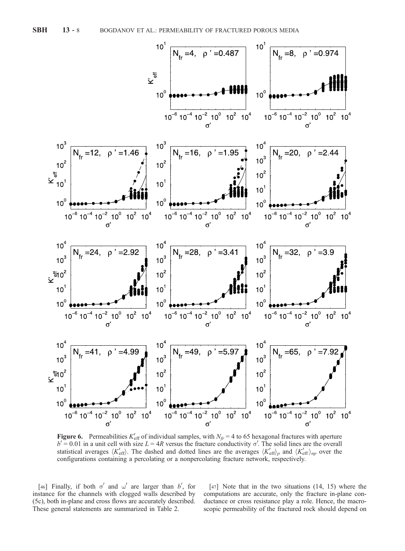

**Figure 6.** Permeabilities  $K'_{\text{eff}}$  of individual samples, with  $N_{f} = 4$  to 65 hexagonal fractures with aperture  $b' = 0.01$  in a unit cell with size  $L = 4R$  versus the fracture conductivity  $\sigma'$ . The solid lines are the overall statistical averages  $\langle K'_{\text{eff}} \rangle$ . The dashed and dotted lines are the averages  $\langle K'_{\text{eff}} \rangle_p$  and  $\langle K'_{\text{eff}} \rangle_{np}$  over the configurations containing a percolating or a nonpercolating fracture network, respectively.

[46] Finally, if both  $\sigma'$  and  $\omega'$  are larger than b', for instance for the channels with clogged walls described by (5c), both in-plane and cross flows are accurately described. These general statements are summarized in Table 2.

[47] Note that in the two situations (14, 15) where the computations are accurate, only the fracture in-plane conductance or cross resistance play a role. Hence, the macroscopic permeability of the fractured rock should depend on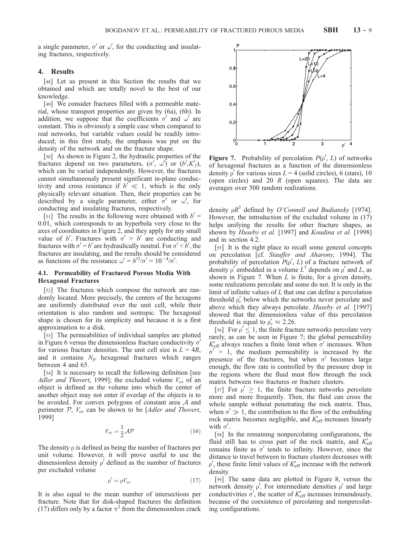a single parameter,  $\sigma'$  or  $\omega'$ , for the conducting and insulating fractures, respectively.

#### 4. Results

[48] Let us present in this Section the results that we obtained and which are totally novel to the best of our knowledge.

[49] We consider fractures filled with a permeable material, whose transport properties are given by (6a), (6b). In addition, we suppose that the coefficients  $\sigma'$  and  $\omega'$  are constant. This is obviously a simple case when compared to real networks, but variable values could be readily introduced; in this first study, the emphasis was put on the density of the network and on the fracture shape.

[50] As shown in Figure 2, the hydraulic properties of the fractures depend on two parameters,  $(\sigma', \omega')$  or  $(b', K'_{f})$ , which can be varied independently. However, the fractures cannot simultaneously present significant in-plane conductivity and cross resistance if  $b' \ll 1$ , which is the only physically relevant situation. Then, their properties can be described by a single parameter, either  $\sigma'$  or w', for conducting and insulating fractures, respectively.

[51] The results in the following were obtained with  $b' =$ 0.01, which corresponds to an hyperbola very close to the axes of coordinates in Figure 2, and they apply for any small value of b'. Fractures with  $\sigma' > b'$  are conducting and fractures with  $\sigma' = b'$  are hydraulically neutral. For  $\sigma' < b'$ , the fractures are insulating, and the results should be considered as functions of the resistance  $\omega' = b'^2/\sigma' = 10^{-4}/\sigma'.$ 

#### 4.1. Permeability of Fractured Porous Media With Hexagonal Fractures

[52] The fractures which compose the network are randomly located. More precisely, the centers of the hexagons are uniformly distributed over the unit cell, while their orientation is also random and isotropic. The hexagonal shape is chosen for its simplicity and because it is a first approximation to a disk.

[53] The permeabilities of individual samples are plotted in Figure 6 versus the dimensionless fracture conductivity  $\sigma'$ for various fracture densities. The unit cell size is  $L = 4R$ , and it contains  $N_{fr}$  hexagonal fractures which ranges between 4 and 65.

[54] It is necessary to recall the following definition [see Adler and Thovert, 1999]; the excluded volume  $V_{ex}$  of an object is defined as the volume into which the center of another object may not enter if overlap of the objects is to be avoided. For convex polygons of constant area A and perimeter  $P$ ,  $V_{ex}$  can be shown to be [Adler and Thovert, 1999]

$$
V_{ex} = \frac{1}{2} \mathcal{A} \mathcal{P} \tag{16}
$$

The density  $\rho$  is defined as being the number of fractures per unit volume. However, it will prove useful to use the dimensionless density  $\rho'$  defined as the number of fractures per excluded volume

$$
\rho' = \rho V_{ex} \tag{17}
$$

It is also equal to the mean number of intersections per fracture. Note that for disk-shaped fractures the definition (17) differs only by a factor  $\pi^2$  from the dimensionless crack



Figure 7. Probability of percolation  $P(\rho', L)$  of networks of hexagonal fractures as a function of the dimensionless density  $\rho'$  for various sizes  $L = 4$  (solid circles), 6 (stars), 10 (open circles) and 20  $R$  (open squares). The data are averages over 500 random realizations.

density  $\rho R^3$  defined by *O'Connell and Budiansky* [1974]. However, the introduction of the excluded volume in (17) helps unifying the results for other fracture shapes, as shown by Huseby et al. [1997] and Koudina et al. [1998] and in section 4.2.

[55] It is the right place to recall some general concepts on percolation [cf. Stauffer and Aharony, 1994]. The probability of percolation  $P(\rho', L)$  of a fracture network of density  $\rho'$  embedded in a volume  $\hat{L}^3$  depends on  $\rho'$  and  $L$ , as shown in Figure 7. When  $L$  is finite, for a given density, some realizations percolate and some do not. It is only in the limit of infinite values of  $L$  that one can define a percolation threshold  $\rho'_c$  below which the networks never percolate and above which they always percolate. Huseby et al. [1997] showed that the dimensionless value of this percolation threshold is equal to  $\rho'_c \approx 2.26$ .

[56] For  $\rho' \leq 1$ , the finite fracture networks percolate very rarely, as can be seen in Figure 7; the global permeability  $K'_{\text{eff}}$  always reaches a finite limit when  $\sigma'$  increases. When  $\sigma' > 1$ , the medium permeability is increased by the presence of the fractures, but when  $\sigma'$  becomes large enough, the flow rate is controlled by the pressure drop in the regions where the fluid must flow through the rock matrix between two fractures or fracture clusters.

[57] For  $\rho' \geq 1$ , the finite fracture networks percolate more and more frequently. Then, the fluid can cross the whole sample without penetrating the rock matrix. Thus, when  $\sigma' \gg 1$ , the contribution to the flow of the embedding rock matrix becomes negligible, and  $K'_{\text{eff}}$  increases linearly with  $\sigma'$ .

[58] In the remaining nonpercolating configurations, the fluid still has to cross part of the rock matrix, and  $K'_{\text{eff}}$ remains finite as  $\sigma'$  tends to infinity. However, since the distance to travel between to fracture clusters decreases with  $\rho'$ , these finite limit values of  $K'_{\text{eff}}$  increase with the network density.

[59] The same data are plotted in Figure 8, versus the network density  $\rho'$ . For intermediate densities  $\rho'$  and large conductivities  $\sigma'$ , the scatter of  $K'_{\text{eff}}$  increases tremendously, because of the coexistence of percolating and nonpercolating configurations.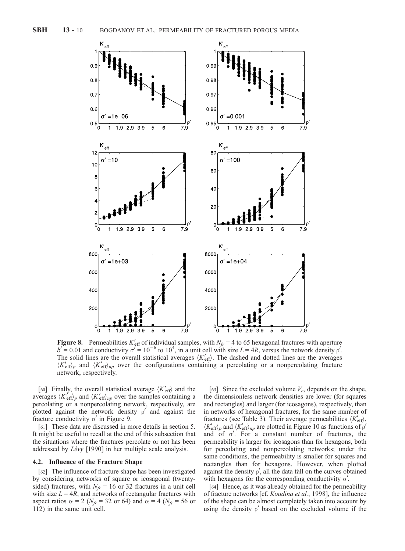

**Figure 8.** Permeabilities  $K'_{\text{eff}}$  of individual samples, with  $N_{f} = 4$  to 65 hexagonal fractures with aperture  $b' = 0.01$  and conductivity  $\sigma' = 10^{-6}$  to  $10^4$ , in a unit cell with size  $L = 4R$ , versus the network density  $\rho'$ . The solid lines are the overall statistical averages  $\langle K_{\text{eff}}' \rangle$ . The dashed and dotted lines are the averages  $\langle K_{\text{eff}}' \rangle_p$  and  $\langle K_{\text{eff}}' \rangle_{np}$  over the configurations containing a percolating or a nonpercolating fracture network, respectively.

[60] Finally, the overall statistical average  $\langle K_{\text{eff}}^{\prime} \rangle$  and the averages  $\langle K_{\text{eff}}' \rangle_p$  and  $\langle K_{\text{eff}}' \rangle_{np}$  over the samples containing a percolating or a nonpercolating network, respectively, are plotted against the network density  $\rho'$  and against the fracture conductivity  $\sigma'$  in Figure 9.

[61] These data are discussed in more details in section 5. It might be useful to recall at the end of this subsection that the situations where the fractures percolate or not has been addressed by  $Lévy$  [1990] in her multiple scale analysis.

### 4.2. Influence of the Fracture Shape

[62] The influence of fracture shape has been investigated by considering networks of square or icosagonal (twentysided) fractures, with  $N_f = 16$  or 32 fractures in a unit cell with size  $L = 4R$ , and networks of rectangular fractures with aspect ratios  $\alpha = 2$  ( $N_f = 32$  or 64) and  $\alpha = 4$  ( $N_f = 56$  or 112) in the same unit cell.

[63] Since the excluded volume  $V_{ex}$  depends on the shape, the dimensionless network densities are lower (for squares and rectangles) and larger (for icosagons), respectively, than in networks of hexagonal fractures, for the same number of fractures (see Table 3). Their average permeabilities  $\langle K'_{\text{eff}} \rangle$ ,  $\langle K_{\text{eff}}' \rangle_p$  and  $\langle K_{\text{eff}}' \rangle_{np}$  are plotted in Figure 10 as functions of p' and of  $\sigma'$ . For a constant number of fractures, the permeability is larger for icosagons than for hexagons, both for percolating and nonpercolating networks; under the same conditions, the permeability is smaller for squares and rectangles than for hexagons. However, when plotted against the density  $\rho'$ , all the data fall on the curves obtained with hexagons for the corresponding conductivity  $\sigma'$ .

[64] Hence, as it was already obtained for the permeability of fracture networks [cf. Koudina et al., 1998], the influence of the shape can be almost completely taken into account by using the density  $\rho'$  based on the excluded volume if the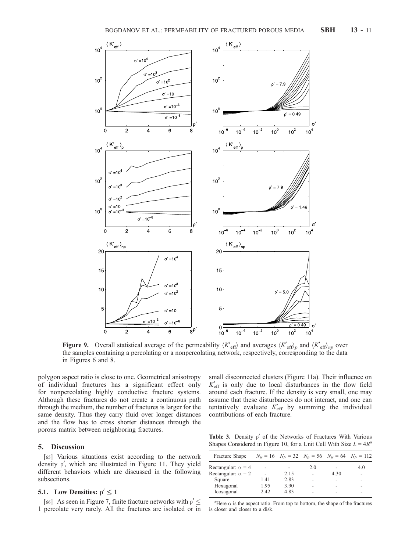

**Figure 9.** Overall statistical average of the permeability  $\langle K'_{\text{eff}} \rangle$  and averages  $\langle K'_{\text{eff}} \rangle_p$  and  $\langle K'_{\text{eff}} \rangle_p$  over the samples containing a percolating or a nonpercolating network, respectively, corresponding to the data in Figures 6 and 8.

polygon aspect ratio is close to one. Geometrical anisotropy of individual fractures has a significant effect only for nonpercolating highly conductive fracture systems. Although these fractures do not create a continuous path through the medium, the number of fractures is larger for the same density. Thus they carry fluid over longer distances and the flow has to cross shorter distances through the porous matrix between neighboring fractures.

# 5. Discussion

[65] Various situations exist according to the network density  $\rho'$ , which are illustrated in Figure 11. They yield different behaviors which are discussed in the following subsections.

# **5.1.** Low Densities:  $\rho' \le 1$

[66] As seen in Figure 7, finite fracture networks with  $\rho' \leq$ 1 percolate very rarely. All the fractures are isolated or in small disconnected clusters (Figure 11a). Their influence on  $K_{\text{eff}}'$  is only due to local disturbances in the flow field around each fracture. If the density is very small, one may assume that these disturbances do not interact, and one can tentatively evaluate  $K'_{\text{eff}}$  by summing the individual contributions of each fracture.

Table 3. Density  $\rho'$  of the Networks of Fractures With Various Shapes Considered in Figure 10, for a Unit Cell With Size  $L = 4R<sup>a</sup>$ 

| Fracture Shape            |      | $N_{fr} = 16$ $N_{fr} = 32$ $N_{fr} = 56$ $N_{fr} = 64$ $N_{fr} = 112$ |     |      |     |
|---------------------------|------|------------------------------------------------------------------------|-----|------|-----|
| Rectangular: $\alpha = 4$ |      |                                                                        | 2.0 |      | 4.0 |
| Rectangular: $\alpha = 2$ |      | 2.15                                                                   |     | 4.30 |     |
| Square                    | 1.41 | 2.83                                                                   |     |      |     |
| Hexagonal                 | 1.95 | 3.90                                                                   |     |      |     |
| Icosagonal                | 2.42 | 483                                                                    |     |      |     |

<sup>a</sup>Here  $\alpha$  is the aspect ratio. From top to bottom, the shape of the fractures is closer and closer to a disk.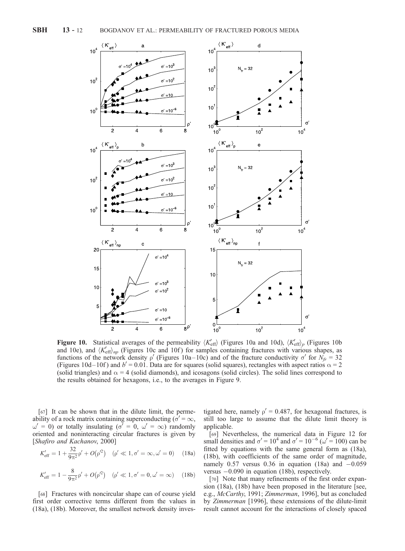

**Figure 10.** Statistical averages of the permeability  $\langle K'_{\text{eff}} \rangle$  (Figures 10a and 10d),  $\langle K'_{\text{eff}} \rangle_p$  (Figures 10b) and 10e), and  $\langle K'_{\text{eff}} \rangle_{np}$  (Figures 10c and 10f) for samples containing fractures with various shapes, as functions of the network density  $\rho'$  (Figures 10a–10c) and of the fracture conductivity  $\sigma'$  for  $N_{ff} = 32$ (Figures 10d–10f) and  $b' = 0.01$ . Data are for squares (solid squares), rectangles with aspect ratios  $\alpha = 2$ (solid triangles) and  $\alpha = 4$  (solid diamonds), and icosagons (solid circles). The solid lines correspond to the results obtained for hexagons, i.e., to the averages in Figure 9.

[67] It can be shown that in the dilute limit, the permeability of a rock matrix containing superconducting ( $\sigma' = \infty$ ,  $\omega' = 0$ ) or totally insulating ( $\sigma' = 0$ ,  $\omega' = \infty$ ) randomly oriented and noninteracting circular fractures is given by [Shafiro and Kachanov, 2000]

$$
K'_{\text{eff}} = 1 + \frac{32}{9\pi^2} \rho' + O(\rho'^2) \quad (\rho' \ll 1, \sigma' = \infty, \omega' = 0) \quad (18a)
$$

$$
K'_{\text{eff}} = 1 - \frac{8}{9\pi^2} \rho' + O(\rho'^2) \quad (\rho' \ll 1, \sigma' = 0, \omega' = \infty) \quad (18b)
$$

[68] Fractures with noncircular shape can of course yield first order corrective terms different from the values in (18a), (18b). Moreover, the smallest network density inves-

tigated here, namely  $\rho' = 0.487$ , for hexagonal fractures, is still too large to assume that the dilute limit theory is applicable.

[69] Nevertheless, the numerical data in Figure 12 for small densities and  $\sigma' = 10^4$  and  $\sigma' = 10^{-6}$  ( $\omega' = 100$ ) can be fitted by equations with the same general form as (18a), (18b), with coefficients of the same order of magnitude, namely  $0.57$  versus  $0.36$  in equation (18a) and  $-0.059$ versus -0.090 in equation (18b), respectively.

[70] Note that many refinements of the first order expansion (18a), (18b) have been proposed in the literature [see, e.g., McCarthy, 1991; Zimmerman, 1996], but as concluded by Zimmerman [1996], these extensions of the dilute-limit result cannot account for the interactions of closely spaced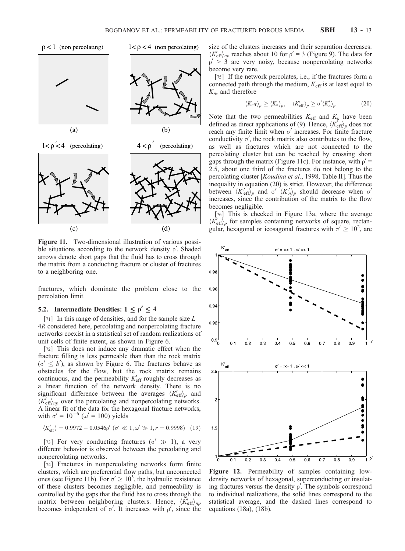$\rho < 1$  (non percolating)



 $1 < \rho < 4$  (non percolating)





Figure 11. Two-dimensional illustration of various possible situations according to the network density  $\rho'$ . Shaded arrows denote short gaps that the fluid has to cross through the matrix from a conducting fracture or cluster of fractures to a neighboring one.

fractures, which dominate the problem close to the percolation limit.

#### 5.2. Intermediate Densities:  $1 \leq \rho' \leq 4$

[71] In this range of densities, and for the sample size  $L =$ 4R considered here, percolating and nonpercolating fracture networks coexist in a statistical set of random realizations of unit cells of finite extent, as shown in Figure 6.

[72] This does not induce any dramatic effect when the fracture filling is less permeable than than the rock matrix  $(\sigma' \leq b')$ , as shown by Figure 6. The fractures behave as obstacles for the flow, but the rock matrix remains continuous, and the permeability  $K'_{\text{eff}}$  roughly decreases as a linear function of the network density. There is no significant difference between the averages  $\langle K_{\text{eff}}' \rangle_p$  and  $\langle K_{\text{eff}}' \rangle_{np}$  over the percolating and nonpercolating networks. A linear fit of the data for the hexagonal fracture networks, with  $\sigma' = 10^{-6}$  ( $\omega' = 100$ ) yields

$$
\langle K'_{\text{eff}}\rangle = 0.9972 - 0.0546\rho' \ (\sigma' \ll 1, \omega' \gg 1, r = 0.9998) \tag{19}
$$

[73] For very conducting fractures ( $\sigma' \gg 1$ ), a very different behavior is observed between the percolating and nonpercolating networks.

[74] Fractures in nonpercolating networks form finite clusters, which are preferential flow paths, but unconnected ones (see Figure 11b). For  $\sigma' \ge 10^3$ , the hydraulic resistance of these clusters becomes negligible, and permeability is controlled by the gaps that the fluid has to cross through the matrix between neighboring clusters. Hence,  $\langle K'_{\text{eff}} \rangle_{np}$ becomes independent of  $\sigma'$ . It increases with  $\rho'$ , since the

size of the clusters increases and their separation decreases.  $\langle K_{\text{eff}}^{\prime} \rangle_{np}$  reaches about 10 for  $\rho^{\prime} = 3$  (Figure 9). The data for  $\rho' > 3$  are very noisy, because nonpercolating networks become very rare.

[75] If the network percolates, i.e., if the fractures form a connected path through the medium,  $K_{\text{eff}}$  is at least equal to  $K_n$ , and therefore

$$
\langle K_{\rm eff} \rangle_p \ge \langle K_n \rangle_p, \quad \langle K'_{\rm eff} \rangle_p \ge \sigma' \langle K'_n \rangle_p \tag{20}
$$

Note that the two permeabilities  $K_{\text{eff}}$  and  $K_n$  have been defined as direct applications of (9). Hence,  $\langle K_{\text{eff}}^{\prime} \rangle_p$  does not reach any finite limit when  $\sigma'$  increases. For finite fracture conductivity  $\sigma'$ , the rock matrix also contributes to the flow, as well as fractures which are not connected to the percolating cluster but can be reached by crossing short gaps through the matrix (Figure 11c). For instance, with  $\rho' =$ 2.5, about one third of the fractures do not belong to the percolating cluster [Koudina et al., 1998, Table II]. Thus the inequality in equation (20) is strict. However, the difference between  $\langle K'_{\text{eff}}\rangle_p$  and  $\sigma'$   $\langle K'_n\rangle_p$  should decrease when  $\sigma'$ increases, since the contribution of the matrix to the flow becomes negligible.

[76] This is checked in Figure 13a, where the average  $\langle K_{\text{eff}}' \rangle_p$  for samples containing networks of square, rectangular, hexagonal or icosagonal fractures with  $\sigma' \ge 10^2$ , are



Figure 12. Permeability of samples containing lowdensity networks of hexagonal, superconducting or insulating fractures versus the density  $\rho'$ . The symbols correspond to individual realizations, the solid lines correspond to the statistical average, and the dashed lines correspond to equations (18a), (18b).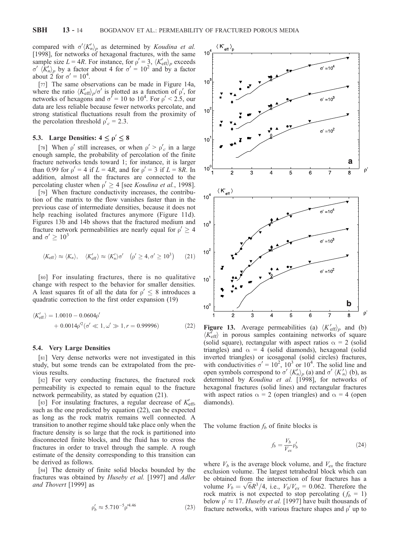compared with  $\sigma' \langle K'_n \rangle_p$  as determined by *Koudina et al.* [1998], for networks of hexagonal fractures, with the same sample size  $L = 4R$ . For instance, for  $\rho' = 3$ ,  $\langle K_{\text{eff}} \rangle_p$  exceeds  $\sigma'$   $\langle K'_n \rangle_p$  by a factor about 4 for  $\sigma' = 10^2$  and by a factor about 2 for  $\sigma' = 10^4$ .

[77] The same observations can be made in Figure 14a, where the ratio  $\langle K'_{\text{eff}} \rangle_p / \sigma'$  is plotted as a function of  $\rho'$ , for networks of hexagons and  $\sigma' = 10$  to  $10^4$ . For  $\rho' < 2.5$ , our data are less reliable because fewer networks percolate, and strong statistical fluctuations result from the proximity of the percolation threshold  $\rho'_{c} = 2.3$ .

# 5.3. Large Densities:  $4 \le \rho' \le 8$

[78] When  $\rho'$  still increases, or when  $\rho' > \rho'_c$  in a large enough sample, the probability of percolation of the finite fracture networks tends toward 1; for instance, it is larger than 0.99 for  $\rho' = 4$  if  $L = 4R$ , and for  $\rho' = 3$  if  $L = 8R$ . In addition, almost all the fractures are connected to the percolating cluster when  $\rho' \ge 4$  [see *Koudina et al.*, 1998].

[79] When fracture conductivity increases, the contribution of the matrix to the flow vanishes faster than in the previous case of intermediate densities, because it does not help reaching isolated fractures anymore (Figure 11d). Figures 13b and 14b shows that the fractured medium and fracture network permeabilities are nearly equal for  $\rho' \geq 4$ and  $\sigma' \geq 10^3$ 

$$
\langle K_{\text{eff}} \rangle \approx \langle K_n \rangle, \quad \langle K'_{\text{eff}} \rangle \approx \langle K'_n \rangle \sigma' \quad (\rho' \ge 4, \sigma' \ge 10^3)
$$
 (21)

[80] For insulating fractures, there is no qualitative change with respect to the behavior for smaller densities. A least squares fit of all the data for  $\rho' \leq 8$  introduces a quadratic correction to the first order expansion (19)

$$
\langle K'_{\text{eff}} \rangle = 1.0010 - 0.0604 \rho'
$$
  
+ 0.0014 \rho^2 (\sigma' \ll 1, \omega' \gg 1, r = 0.99996) (22)

#### 5.4. Very Large Densities

[81] Very dense networks were not investigated in this study, but some trends can be extrapolated from the previous results.

[82] For very conducting fractures, the fractured rock permeability is expected to remain equal to the fracture network permeability, as stated by equation (21).

[83] For insulating fractures, a regular decrease of  $K_{\text{eff}}'$ , such as the one predicted by equation (22), can be expected as long as the rock matrix remains well connected. A transition to another regime should take place only when the fracture density is so large that the rock is partitioned into disconnected finite blocks, and the fluid has to cross the fractures in order to travel through the sample. A rough estimate of the density corresponding to this transition can be derived as follows.

[84] The density of finite solid blocks bounded by the fractures was obtained by Huseby et al. [1997] and Adler and Thovert [1999] as

$$
\rho'_b \approx 5.710^{-5} \rho'^{4.46} \tag{23}
$$



**Figure 13.** Average permeabilities (a)  $\langle K'_{\text{eff}} \rangle_p$  and (b)  $\langle K_{\text{eff}}' \rangle$  in porous samples containing networks of square (solid square), rectangular with aspect ratios  $\alpha = 2$  (solid triangles) and  $\alpha = 4$  (solid diamonds), hexagonal (solid inverted triangles) or icosagonal (solid circles) fractures, with conductivities  $\sigma' = 10^2$ ,  $10^3$  or  $10^4$ . The solid line and open symbols correspond to  $\sigma'$   $\langle K'_n \rangle_p$  (a) and  $\sigma'$   $\langle K'_n \rangle$  (b), as determined by Koudina et al. [1998], for networks of hexagonal fractures (solid lines) and rectangular fractures with aspect ratios  $\alpha = 2$  (open triangles) and  $\alpha = 4$  (open diamonds).

The volume fraction  $f_b$  of finite blocks is

$$
f_b = \frac{V_b}{V_{ex}} \rho'_b \tag{24}
$$

where  $V_b$  is the average block volume, and  $V_{ex}$  the fracture exclusion volume. The largest tetrahedral block which can be obtained from the intersection of four fractures has a be obtained from the intersection of four fractures has a volume  $V_b = \sqrt{6}R^3/4$ , i.e.,  $V_b/V_{ex} = 0.062$ . Therefore the rock matrix is not expected to stop percolating  $(f_b = 1)$ below  $\rho' \approx 17$ . Huseby et al. [1997] have built thousands of fracture networks, with various fracture shapes and  $\rho'$  up to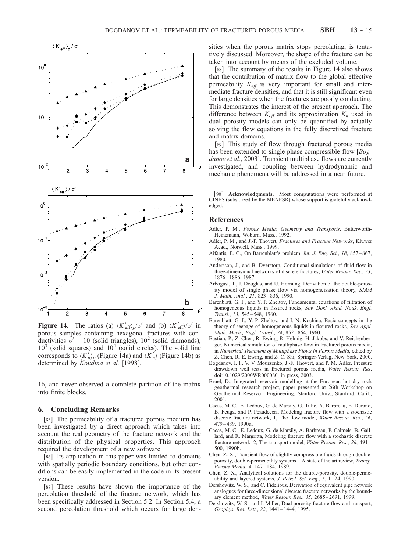

**Figure 14.** The ratios (a)  $\langle K_{\text{eff}}' \rangle_p / \sigma'$  and (b)  $\langle K_{\text{eff}}' \rangle / \sigma'$  in porous samples containing hexagonal fractures with conductivities  $\sigma' = 10$  (solid triangles),  $10^2$  (solid diamonds),  $10<sup>3</sup>$  (solid squares) and  $10<sup>4</sup>$  (solid circles). The solid line corresponds to  $\langle K_n' \rangle_p$  (Figure 14a) and  $\langle K_n' \rangle$  (Figure 14b) as determined by Koudina et al. [1998].

16, and never observed a complete partition of the matrix into finite blocks.

#### 6. Concluding Remarks

[85] The permeability of a fractured porous medium has been investigated by a direct approach which takes into account the real geometry of the fracture network and the distribution of the physical properties. This approach required the development of a new software.

[86] Its application in this paper was limited to domains with spatially periodic boundary conditions, but other conditions can be easily implemented in the code in its present version.

[87] These results have shown the importance of the percolation threshold of the fracture network, which has been specifically addressed in Section 5.2. In Section 5.4, a second percolation threshold which occurs for large densities when the porous matrix stops percolating, is tentatively discussed. Moreover, the shape of the fracture can be taken into account by means of the excluded volume.

[88] The summary of the results in Figure 14 also shows that the contribution of matrix flow to the global effective permeability  $K_{\text{eff}}$  is very important for small and intermediate fracture densities, and that it is still significant even for large densities when the fractures are poorly conducting. This demonstrates the interest of the present approach. The difference between  $K_{\text{eff}}$  and its approximation  $K_n$  used in dual porosity models can only be quantified by actually solving the flow equations in the fully discretized fracture and matrix domains.

[89] This study of flow through fractured porous media has been extended to single-phase compressible flow [Bogdanov et al., 2003]. Transient multiphase flows are currently investigated, and coupling between hydrodynamic and mechanic phenomena will be addressed in a near future.

[90] Acknowledgments. Most computations were performed at CINES (subsidized by the MENESR) whose support is gratefully acknowledged.

### References

- Adler, P. M., Porous Media: Geometry and Transports, Butterworth-Heinemann, Woburn, Mass., 1992.
- Adler, P. M., and J.-F. Thovert, Fractures and Fracture Networks, Kluwer Acad., Norwell, Mass., 1999.
- Aifantis, E. C., On Barrenblatt's problem, Int. J. Eng. Sci., 18, 857-867, 1980.
- Andersson, J., and B. Dverstorp, Conditional simulations of fluid flow in three-dimensional networks of discrete fractures, Water Resour. Res., 23, 1876 – 1886, 1987.
- Arbogast, T., J. Douglas, and U. Hornung, Derivation of the double-porosity model of single phase flow via homogeneisation theory, SIAM J. Math. Anal., 21, 823 – 836, 1990.
- Barenblatt, G. I., and Y. P. Zheltov, Fundamental equations of filtration of homogeneous liquids in fissured rocks, Sov. Dokl. Akad. Nauk, Engl. Transl., 13, 545 – 548, 1960.
- Barenblatt, G. I., Y. P. Zheltov, and I. N. Kochina, Basic concepts in the theory of seepage of homogeneous liquids in fissured rocks, Sov. Appl. Math. Mech., Engl. Transl., 24, 852-864, 1960.
- Bastian, P., Z. Chen, R. Ewing, R. Helmig, H. Jakobs, and V. Reichenberger, Numerical simulation of multiphase flow in fractured porous media, in Numerical Treatment of Multiphase Flows in Porous Media, edited by Z. Chen, R. E. Ewing, and Z. C. Shi, Springer-Verlag, New York, 2000.
- Bogdanov, I. I., V. V. Mourzenko, J.-F. Thovert, and P. M. Adler, Pressure drawdown well tests in fractured porous media, Water Resour. Res, doi:10.1029/2000WR000080, in press, 2003.
- Bruel, D., Integrated reservoir modelling at the European hot dry rock geothermal research project, paper presented at 26th Workshop on Geothermal Reservoir Engineering, Stanford Univ., Stanford, Calif., 2001.
- Cacas, M. C., E. Ledoux, G. de Marsily, G. Tillie, A. Barbreau, E. Durand, B. Feuga, and P. Peaudecerf, Modeling fracture flow with a stochastic discrete fracture network, 1, The flow model, Water Resour. Res., 26, 479 – 489, 1990a.
- Cacas, M. C., E. Ledoux, G. de Marsily, A. Barbreau, P. Calmels, B. Gaillard, and R. Margritta, Modeling fracture flow with a stochastic discrete fracture network, 2, The transport model, Water Resour. Res., 26, 491-500, 1990b.
- Chen, Z. X., Transient flow of slightly compressible fluids through doubleporosity, double-permeability systems-A state of the art review, Transp. Porous Media, 4, 147 – 184, 1989.
- Chen, Z. X., Analytical solutions for the double-porosity, double-permeability and layered systems, J. Petrol. Sci. Eng., 5, 1-24, 1990.
- Dershowitz, W. S., and C. Fidelibus, Derivation of equivalent pipe network analogues for three-dimensional discrete fracture networks by the boundary element method, Water Resour. Res., 35, 2685-2691, 1999.
- Dershowitz, W. S., and I. Miller, Dual porosity fracture flow and transport, Geophys. Res. Lett., 22, 1441 – 1444, 1995.